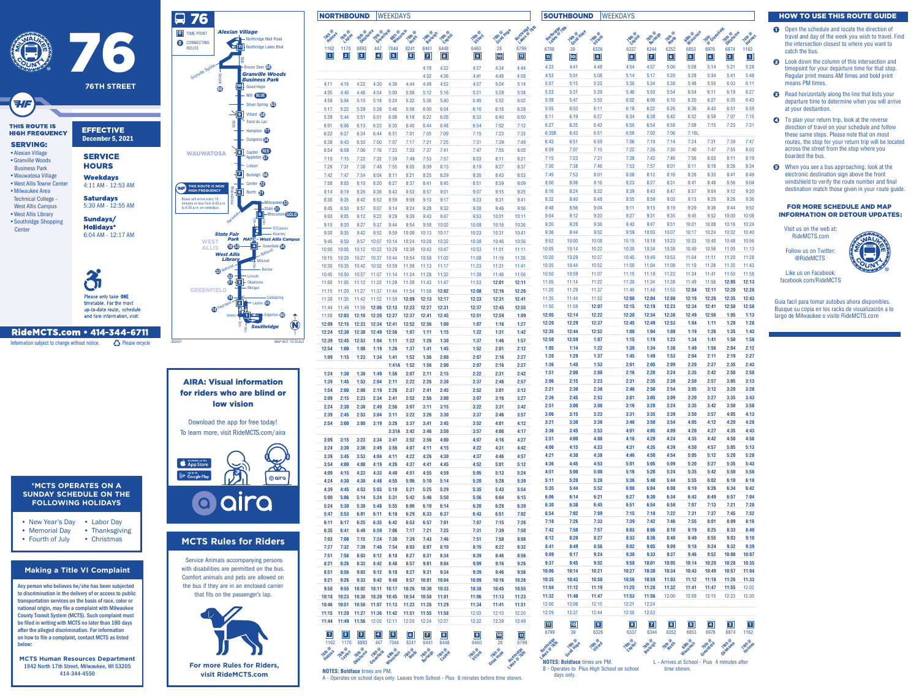

- Labor Day • New Year's Day
- Thanksgiving • Memorial Day
- Christmas • Fourth of July
- Open the schedule and locate the direction of travel and day of the week you wish to travel. Find the intersection closest to where you want to catch the bus.
- **2** Look down the column of this intersection and timepoint for your departure time for that stop. Regular print means AM times and bold print means PM times.
- **8** Read horizontally along the line that lists your departure time to determine when you will arrive at your destiantion.
- **4** To plan your return trip, look at the reverse direction of travel on your schedule and follow these same steps. Please note that on most routes, the stop for your return trip will be located across the street from the stop where you boarded the bus.
- $\Theta$  When you see a bus approaching, look at the electronic destination sign above the front windshield to verify the route number and final destination match those given in your route guide.

| <b>NORTHBOUND</b>       |                                     |                    |                            | <b>WEEKDAYS</b>      |                 |                   |                |                        |                    |                          |                        | <b>SOUTHBOUND</b>  |                                            | <b>WEEKDAYS</b>     |                     |                        |                     |                        |                                              |                              |
|-------------------------|-------------------------------------|--------------------|----------------------------|----------------------|-----------------|-------------------|----------------|------------------------|--------------------|--------------------------|------------------------|--------------------|--------------------------------------------|---------------------|---------------------|------------------------|---------------------|------------------------|----------------------------------------------|------------------------------|
| <b>TATITIBS</b><br>1162 | 1170                                | Tott women<br>6893 | Tath @ rifeld<br>447       | Gath Gransin<br>7044 | Tethorn<br>8241 | Toth eigh<br>6441 | 6448           | <b>Tethard</b><br>6460 | Toth of Hope<br>28 | Northridge / Gth<br>6799 | Nothitide fatt<br>6799 | Teth of Hope       | Tothlard                                   | Teth of             | Tetti eigh          | <b>Teth of</b><br>6352 | Gath Sonsin         | Tott Greenfeld<br>6976 | Tottatoms                                    |                              |
| $\boxed{1}$             | $\boxed{2}$                         | $\sqrt{3}$         | $\boxed{4}$                | $\boxed{5}$          | $\boxed{6}$     | $\boxed{7}$       | $\boxed{8}$    | $\boxed{9}$            | 10                 | $\boxed{11}$             | $\overline{11}$        | 39<br>$\boxed{10}$ | 6326<br>$\boxed{9}$                        | 6337<br>$\boxed{8}$ | 6344<br>$\boxed{7}$ | $\boxed{6}$            | 6853<br>$\boxed{5}$ | $\boxed{4}$            | 6874<br>$\boxed{3}$                          | 1162<br>$\boxed{\mathbf{1}}$ |
|                         |                                     |                    |                            |                      |                 | 4:18              | 4:22<br>4:36   | 4:27                   | 4:34               | 4:44<br>4:58             | 4:33<br>4:53           | 4:41<br>5:01       | 4:48<br>5:08                               | 4:54<br>5:14        | 4:57<br>5:17        | 5:00<br>5:20           | 5:08<br>5:28        | 5:14<br>5:34           | 5:21<br>5:41                                 | 5:28<br>5:48                 |
| 4:11                    | 4:16                                | 4:22               | 4:30                       | 4:36                 | 4:44            | 4:32<br>4:48      | 4:52           | 4:41<br>4:57           | 4:48<br>5:04       | 5:14                     | 5:07                   | 5:15               | 5:23                                       | 5:30                | 5:34                | 5:38                   | 5:48                | 5:55                   | 6:03                                         | 6:11                         |
| 4:35                    | 4:40                                | 4:46               | 4:54                       | 5:00                 | 5:08            | 5:12              | 5:16           | 5:21                   | 5:28               | 5:38                     | 5:23<br>5:39           | 5:31<br>5:47       | 5:39<br>5:55                               | 5:46<br>6:02        | 5:50<br>6:06        | 5:54<br>6:10           | 6:04<br>6:20        | 6:11<br>6:27           | 6:19<br>6:35                                 | 6:27<br>6:43                 |
| 4:59<br>5:17            | 5:04<br>5:22                        | 5:10<br>5:29       | 5:18<br>5:39               | 5:24<br>5:46         | 5:32<br>5:56    | 5:36<br>6:00      | 5:40<br>6:04   | 5:45<br>6:10           | 5:52<br>6:18       | 6:02<br>6:28             | 5:55                   | 6:03               | 6:11                                       | 6:18                | 6:22                | 6:26                   | 6:36                | 6:43                   | 6:51                                         | 6:59                         |
| 5:39                    | 5:44                                | 5:51               | 6:01                       | 6:08                 | 6:18            | 6:22              | 6:26           | 6:32                   | 6:40               | 6:50                     | 6:11                   | 6:19               | 6:27                                       | 6:34                | 6:38                | 6:42                   | 6:52                | 6:59                   | 7:07                                         | 7:15                         |
| 6:01<br>6:22            | 6:06<br>6:27                        | 6:13<br>6:34       | 6:23<br>6:44               | 6:30<br>6:51         | 6:40<br>7:01    | 6:44<br>7:05      | 6:48<br>7:09   | 6:54<br>7:15           | 7:02<br>7:23       | 7:12<br>7:33             | 6:27<br>6:35B          | 6:35<br>6:43       | 6:43<br>6:51                               | 6:50<br>6:58        | 6:54<br>7:02        | 6:58<br>7:06           | 7:08<br>7:16L       | 7:15                   | 7:23                                         | 7:31                         |
| 6:38                    | 6:43                                | 6:50               | 7:00                       | 7:07                 | 7:17            | 7:21              | 7:25           | 7:31                   | 7:39               | 7:49                     | 6:43                   | 6:51               | 6:59                                       | 7:06                | 7:10                | 7:14                   | 7:24                | 7:31                   | 7:39                                         | 7:47                         |
| 6:54<br>7:10            | 6:59<br>7:15                        | 7:06<br>7:22       | 7:16<br>7:32               | 7:23<br>7:39         | 7:33<br>7:49    | 7:37<br>7:53      | 7:41<br>7:57   | 7:47<br>8:03           | 7:55<br>8:11       | 8:05<br>8:21             | 6:59<br>7:15           | 7:07<br>7:23       | 7:15<br>7:31                               | 7:22<br>7:38        | 7:26<br>7:42        | 7:30<br>7:46           | 7:40<br>7:56        | 7:47<br>8:03           | 7:55<br>8:11                                 | 8:03<br>8:19                 |
| 7:26                    | 7:31                                | 7:38               | 7:48                       | 7:55                 | 8:05            | 8:09              | 8:13           | 8:19                   | 8:27               | 8:37                     | 7:30                   | 7:38               | 7:46                                       | 7:53                | 7:57                | 8:01                   | 8:11                | 8:18                   | 8:26                                         | 8:34                         |
| 7:42                    | 7:47                                | 7:54               | 8:04                       | 8:11                 | 8:21            | 8:25              | 8:29           | 8:35                   | 8:43               | 8:53                     | 7:45<br>8:00           | 7:53<br>8:08       | 8:01<br>8:16                               | 8:08<br>8:23        | 8:12<br>8:27        | 8:16<br>8:31           | 8:26<br>8:41        | 8:33<br>8:48           | 8:41<br>8:56                                 | 8:49<br>9:04                 |
| 7:58<br>8:14            | 8:03<br>8:19                        | 8:10<br>8:26       | 8:20<br>8:36               | 8:27<br>8:43         | 8:37<br>8:53    | 8:41<br>8:57      | 8:45<br>9:01   | 8:51<br>9:07           | 8:59<br>9:15       | 9:09<br>9:25             | 8:16                   | 8:24               | 8:32                                       | 8:39                | 8:43                | 8:47                   | 8:57                | 9:04                   | 9:12                                         | 9:20                         |
| 8:30                    | 8:35                                | 8:42               | 8:52                       | 8:59                 | 9:09            | 9:13              | 9:17           | 9:23                   | 9:31               | 9:41                     | 8:32                   | 8:40               | 8:48                                       | 8:55                | 8:59                | 9:03                   | 9:13                | 9:20                   | 9:28                                         | 9:36                         |
| 8:45<br>9:00            | 8:50<br>9:05                        | 8:57<br>9:12       | 9:07<br>9:22               | 9:14<br>9:29         | 9:24<br>9:39    | 9:28<br>9:43      | 9:32<br>9:47   | 9:38<br>9:53           | 9:46<br>10:01      | 9:56<br>10:11            | 8:48<br>9:04           | 8:56<br>9:12       | 9:04<br>9:20                               | 9:11<br>9:27        | 9:15<br>9:31        | 9:19<br>9:35           | 9:29<br>9:45        | 9:36<br>9:52           | 9:44<br>10:00                                | 9:52<br>10:08                |
| 9:15                    | 9:20                                | 9:27               | 9:37                       | 9:44                 | 9:54            | 9:58              | 10:02          | 10:08                  | 10:16              | 10:26                    | 9:20                   | 9:28               | 9:36                                       | 9:43                | 9:47                | 9:51                   | 10:01               | 10:08                  | 10:16                                        | 10:24                        |
| 9:30<br>9:45            | 9:35<br>9:50                        | 9:42<br>9:57       | 9:52<br>10:07              | 9:59<br>10:14        | 10:09<br>10:24  | 10:13<br>10:28    | 10:17<br>10:32 | 10:23<br>10:38         | 10:31<br>10:46     | 10:41<br>10:56           | 9:36<br>9:52           | 9:44<br>10:00      | 9:52<br>10:08                              | 9:59<br>10:15       | 10:03<br>10:19      | 10:07<br>10:23         | 10:17<br>10:33      | 10:24<br>10:40         | 10:32<br>10:48                               | 10:40<br>10:56               |
| 10:00                   | 10:05                               | 10:12              | 10:22                      | 10:29                | 10:39           | 10:43             | 10:47          | 10:53                  | 11:01              | 11:11                    | 10:05                  | 10:14              | 10:22                                      | 10:30               | 10:34               | 10:38                  | 10:49               | 10:56                  | 11:05                                        | 11:13                        |
| 10:15                   | 10:20                               | 10:27              | 10:37                      | 10:44                | 10:54           | 10:58             | 11:02          | 11:08                  | 11:16              | 11:26                    | 10:20                  | 10:29              | 10:37                                      | 10:45               | 10:49               | 10:53                  | 11:04               | 11:11<br>11:26         | 11:20                                        | 11:28                        |
| 10:30<br>10:45          | 10:35<br>10:50                      | 10:42<br>10:57     | 10:52<br>$11:07$ 11:14     | 10:59                | 11:09<br>11:24  | 11:13<br>11:28    | 11:17<br>11:32 | 11:23<br>11:38         | 11:31<br>11:46     | 11:41<br>11:56           | 10:35<br>10:50         | 10:44<br>10:59     | 10:52<br>11:07                             | 11:00<br>11:15      | 11:04<br>11:19      | 11:08<br>11:23         | 11:19<br>11:34      | 11:41                  | 11:35<br>11:50                               | 11:43<br>11:58               |
| 11:00                   | 11:05                               | 11:12              | 11:22                      | 11:29                | 11:39           | 11:43             | 11:47          | 11:53                  | 12:01              | 12:11                    | 11:05                  | 11:14              | 11:22                                      | 11:30               | 11:34               | 11:38                  | 11:49               | 11:56                  | 12:05                                        | 12:13                        |
| 11:15<br>11:30          | 11:20<br>11:35                      | 11:27<br>11:42     | 11:37 11:44<br>11:52 11:59 |                      | 11:54<br>12:09  | 11:58<br>12:13    | 12:02<br>12:17 | 12:08<br>12:23         | 12:16<br>12:31     | 12:26<br>12:41           | 11:20<br>11:35         | 11:29<br>11:44     | 11:37<br>11:52                             | 11:45<br>12:00      | 11:49<br>12:04      | 11:53<br>12:08         | 12:04<br>12:19      | 12:11<br>12:26         | 12:20<br>12:35                               | 12:28<br>12:43               |
| 11:44                   | 11:49                               | 11:56              | 12:06                      | 12:13                | 12:23           | 12:27             | 12:31          | 12:37                  | 12:45              | 12:55                    | 11:50                  | 11:59              | 12:07                                      | 12:15               | 12:19               | 12:23                  | 12:34               | 12:41                  | 12:50                                        | 12:58                        |
| 11:58                   | 12:03                               | 12:10              | 12:20 12:27                |                      | 12:37           | 12:41             | 12:45          | 12:51                  | 12:59              | 1:09                     | 12:05<br>12:20         | 12:14<br>12:29     | 12:22<br>12:37                             | 12:30<br>12:45      | 12:34<br>12:49      | 12:38<br>12:53         | 12:49<br>1:04       | 12:56<br>1:11          | 1:05<br>1:20                                 | 1:13<br>1:28                 |
| 12:09<br>12:24          | 12:15<br>12:30                      | 12:23<br>12:38     | 12:34<br>12:49             | 12:41<br>12:56       | 12:52<br>1:07   | 12:56<br>1:11     | 1:00<br>1:15   | 1:07<br>1:22           | 1:16<br>1:31       | 1:27<br>1:42             | 12:35                  | 12:44              | 12:52                                      | 1:00                | 1:04                | 1:08                   | 1:19                | 1:26                   | 1:35                                         | 1:43                         |
| 12:39                   | 12:45                               | 12:53              | 1:04                       | 1:11                 | 1:22            | 1:26              | 1:30           | 1:37                   | 1:46               | 1:57                     | 12:50                  | 12:59              | 1:07                                       | 1:15                | 1:19                | 1:23                   | 1:34                | 1:41                   | 1:50                                         | 1:58                         |
| 12:54<br>1:09           | 1:00<br>1:15                        | 1:08<br>1:23       | 1:19<br>1:34               | 1:26<br>1:41         | 1:37<br>1:52    | 1:41<br>1:56      | 1:45<br>2:00   | 1:52<br>2:07           | 2:01<br>2:16       | 2:12<br>2:27             | 1:05<br>1:20           | 1:14<br>1:29       | 1:22<br>1:37                               | 1:30<br>1:45        | 1:34<br>1:49        | 1:38<br>1:53           | 1:49<br>2:04        | 1:56<br>2:11           | 2:04<br>2:19                                 | 2:12<br>2:27                 |
|                         |                                     |                    |                            | 1:41A                | 1:52            | 1:56              | 2:00           | 2:07                   | 2:16               | 2:27                     | 1:36                   | 1:45               | 1:53                                       | 2:01                | 2:05                | 2:09                   | 2:20                | 2:27                   | 2:35                                         | 2:43                         |
| 1:24<br>1:39            | 1:30<br>1:45                        | 1:38<br>1:53       | 1:49<br>2:04               | 1:56<br>2:11         | 2:07<br>2:22    | 2:11<br>2:26      | 2:15<br>2:30   | 2:22<br>2:37           | 2:31<br>2:46       | 2:42<br>2:57             | 1:51<br>2:06           | 2:00<br>2:15       | 2:08<br>2:23                               | 2:16<br>2:31        | 2:20<br>2:35        | 2:24<br>2:39           | 2:35<br>2:50        | 2:42<br>2:57           | 2:50<br>3:05                                 | 2:58<br>3:13                 |
| 1:54                    | 2:00                                | 2:08               | 2:19                       | 2:26                 | 2:37            | 2:41              | 2:45           | 2:52                   | 3:01               | 3:12                     | 2:21                   | 2:30               | 2:38                                       | 2:46                | 2:50                | 2:54                   | 3:05                | 3:12                   | 3:20                                         | 3:28                         |
| 2:09                    | 2:15                                | 2:23               | 2:34                       | 2:41                 | 2:52            | 2:56              | 3:00           | 3:07                   | 3:16               | 3:27                     | 2:36                   | 2:45               | 2:53                                       | 3:01                | 3:05                | 3:09                   | 3:20                | 3:27                   | 3:35                                         | 3:43                         |
| 2:24<br>2:39            | 2:30<br>2:45                        | 2:38<br>2:53       | 2:49<br>3:04               | 2:56<br>3:11         | 3:07<br>3:22    | 3:11<br>3:26      | 3:15<br>3:30   | 3:22<br>3:37           | 3:31<br>3:46       | 3:42<br>3:57             | 2:51<br>3:06           | 3:00<br>3:15       | 3:08<br>3:23                               | 3:16<br>3:31        | 3:20<br>3:35        | 3:24<br>3:39           | 3:35<br>3:50        | 3:42<br>3:57           | 3:50<br>4:05                                 | 3:58<br>4:13                 |
| 2:54                    | 3:00                                | 3:08               | 3:19                       | 3:26                 | 3:37            | 3:41              | 3:45           | 3:52                   | 4:01               | 4:12                     | 3:21                   | 3:30               | 3:38                                       | 3:46                | 3:50                | 3:54                   | 4:05                | 4:12                   | 4:20                                         | 4:28                         |
| 3:09                    | 3:15                                | 3:23               | 3:34                       | 3:31A<br>3:41        | 3:42<br>3:52    | 3:46<br>3:56      | 3:50<br>4:00   | 3:57<br>4:07           | 4:06<br>4:16       | 4:17<br>4:27             | 3:36<br>3:51           | 3:45<br>4:00       | 3:53<br>4:08                               | 4:01<br>4:16        | 4:05<br>4:20        | 4:09<br>4:24           | 4:20<br>4:35        | 4:27<br>4:42           | 4:35<br>4:50                                 | 4:43<br>4:58                 |
| 3:24                    | 3:30                                | 3:38               | 3:49                       | 3:56                 | 4:07            | 4:11              | 4:15           | 4:22                   | 4:31               | 4:42                     | 4:06                   | 4:15               | 4:23                                       | 4:31                | 4:35                | 4:39                   | 4:50                | 4:57                   | 5:05                                         | 5:13                         |
| 3:39<br>3:54            | 3:45<br>4:00                        | 3:53<br>4:08       | 4:04<br>4:19               | 4:11<br>4:26         | 4:22<br>4:37    | 4:26<br>4:41      | 4:30<br>4:45   | 4:37<br>4:52           | 4:46<br>5:01       | 4:57<br>5:12             | 4:21<br>4:36           | 4:30<br>4:45       | 4:38<br>4:53                               | 4:46<br>5:01        | 4:50<br>5:05        | 4:54<br>5:09           | 5:05<br>5:20        | 5:12<br>5:27           | 5:20<br>5:35                                 | 5:28<br>5:43                 |
| 4:09                    | 4:15                                | 4:23               | 4:33                       | 4:40                 | 4:51            | 4:55              | 4:59           | 5:05                   | 5:13               | 5:24                     | 4:51                   | 5:00               | 5:08                                       | 5:16                | 5:20                | 5:24                   | 5:35                | 5:42                   | 5:50                                         | 5:58                         |
| 4:24                    | 4:30                                | 4:38               | 4:48                       | 4:55                 | 5:06            | 5:10              | 5:14           | 5:20                   | 5:28               | 5:39                     | 5:11                   | 5:20               | 5:28                                       | 5:36                | 5:40                | 5:44                   | 5:55                | 6:02                   | 6:10                                         | 6:18                         |
| 4:39<br>5:00            | 4:45<br>5:06                        | 4:53<br>5:14       | 5:03<br>5:24               | 5:10<br>5:31         | 5:21<br>5:42    | 5:25<br>5:46      | 5:29<br>5:50   | 5:35<br>5:56           | 5:43<br>6:04       | 5:54<br>6:15             | 5:35<br>6:06           | 5:44<br>6:14       | 5:52<br>6:21                               | 6:00<br>6:27        | 6:04<br>6:30        | 6:08<br>6:34           | 6:19<br>6:43        | 6:26<br>6:49           | 6:34<br>6:57                                 | 6:42<br>7:04                 |
| 5:24                    | 5:30                                | 5:38               | 5:48                       | 5:55                 | 6:06            | 6:10              | 6:14           | 6:20                   | 6:28               | 6:39                     | 6:30                   | 6:38               | 6:45                                       | 6:51                | 6:54                | 6:58                   | 7:07                | 7:13                   | 7:21                                         | 7:28                         |
| 5:47<br>6:11            | 5:53<br>6:17                        | 6:01<br>6:25       | 6:11<br>6:35               | 6:18<br>6:42         | 6:29<br>6:53    | 6:33<br>6:57      | 6:37<br>7:01   | 6:43<br>7:07           | 6:51<br>7:15       | 7:02<br>7:26             | 6:54<br>7:18           | 7:02<br>7:26       | 7:09<br>7:33                               | 7:15<br>7:39        | 7:18<br>7:42        | 7:22<br>7:46           | 7:31<br>7:55        | 7:37<br>8:01           | 7:45<br>8:09                                 | 7:52<br>8:16                 |
| 6:35                    | 6:41                                | 6:49               | 6:59                       | 7:06                 | 7:17            | 7:21              | 7:25           | 7:31                   | 7:39               | 7:50                     | 7:42                   | 7:50               | 7:57                                       | 8:03                | 8:06                | 8:10                   | 8:19                | 8:25                   | 8:33                                         | 8:40                         |
| 7:03                    | 7:08                                | 7:15               | 7:24                       | 7:30                 | 7:39            | 7:43              | 7:46           | 7:51                   | 7:58               | 8:08                     | 8:12                   | 8:20<br>8:49       | 8:27<br>8:56                               | 8:33<br>9:02        | 8:36<br>9:05        | 8:40<br>9:09           | 8:49<br>9:18        | 8:55<br>9:24           | 9:03<br>9:32                                 | 9:10<br>9:39                 |
| 7:27<br>7:51            | 7:32<br>7:56                        | 7:39<br>8:03       | 7:48                       | 7:54<br>8:12 8:18    | 8:03<br>8:27    | 8:07<br>8:31      | 8:10<br>8:34   | 8:15<br>8:39           | 8:22<br>8:46       | 8:32<br>8:56             | 8:41<br>9:09           | 9:17               | 9:24                                       | 9:30                | 9:33                | 9:37                   | 9:46                | 9:52                   | 10:00                                        | 10:07                        |
| 8:21                    | 8:26                                | 8:33               | 8:42                       | 8:48                 | 8:57            | 9:01              | 9:04           | 9:09                   | 9:16               | 9:26                     | 9:37                   | 9:45               | 9:52                                       | 9:58                | 10:01               | 10:05                  | 10:14               | 10:20                  | 10:28                                        | 10:35                        |
| 8:51<br>9:21            | 8:56<br>9:26                        | 9:03<br>9:33       | 9:12<br>9:42               | 9:18<br>9:48         | 9:27<br>9:57    | 9:31<br>10:01     | 9:34<br>10:04  | 9:39<br>10:09          | 9:46<br>10:16      | 9:56<br>10:26            | 10:06<br>10:35         | 10:14<br>10:43     | 10:21<br>10:50                             | 10:27<br>10:56      | 10:30<br>10:59      | 10:34<br>11:03         | 10:43<br>11:12      | 10:49<br>11:18         | 10:57<br>11:26                               | 11:04<br>11:33               |
| 9:50                    | 9:55                                | 10:02              | 10:11 10:17                |                      | 10:26           | 10:30             | 10:33          | 10:38                  | 10:45              | 10:55                    | 11:04                  | 11:12              | 11:19                                      | 11:25               | 11:28               | 11:32                  | 11:41               | 11:47                  | 11:55                                        | 12:02                        |
| 10:18                   | 10:23                               | 10:30              | 10:39 10:45                |                      | 10:54           | 10:58             | 11:01          | 11:06                  | 11:13              | 11:23                    | 11:32<br>12:00         | 11:40<br>12:08     | 11:47<br>12:15                             | 11:53<br>12:21      | 11:56<br>12:24      | 12:00                  | 12:09               | 12:15                  | 12:23                                        | 12:30                        |
| 10:46<br>11:15          | 10:51<br>11:20 11:27                | 10:58              | 11:07 11:13<br>11:36 11:42 |                      | 11:22<br>11:51  | 11:26<br>11:55    | 11:29<br>11:58 | 11:34<br>12:03         | 11:41<br>12:10     | 11:51<br>12:20           | 12:29                  | 12:37              | 12:44                                      | 12:50               | 12:53               |                        |                     |                        |                                              |                              |
| 11:44                   | 11:49 11:56                         |                    | 12:05 12:11                |                      | 12:20           | 12:24             | 12:27          | 12:32                  | 12:39              | 12:49                    | $\boxed{11}$           | $\boxed{10}$       | $\boxed{9}$                                | $\boxed{8}$         | $\boxed{7}$         | $\boxed{6}$            | $\boxed{5}$         | $\boxed{4}$            | $\overline{\mathbf{3}}$                      | $\boxed{1}$                  |
| $\vert$ 1               | $\vert$ 2                           | $\vert$ 3          | $\boxed{4}$                | $\boxed{5}$          | $\boxed{6}$     | $\overline{z}$    | $\boxed{3}$    | $\boxed{9}$            | <u>10</u>          | $\vert$ 11               | 6799                   | 39                 | 6326                                       | 6337                | 6344                | 6352                   | 6853                | 6976                   | 6874                                         | 1162                         |
| 1162                    | 1170                                | 6893               | 447                        | 7044                 | 8241            | 6441              | 6448           | 6460                   | 28                 | 6799                     |                        |                    |                                            |                     |                     |                        |                     |                        |                                              |                              |
|                         |                                     |                    |                            |                      |                 |                   |                |                        | Good Hope          |                          |                        |                    | <b>NOTES: Boldface times are PM.</b>       |                     |                     |                        |                     |                        | L - Arrives at School - Pius 4 minutes after |                              |
|                         | <b>NOTES: Boldface times are PM</b> |                    |                            |                      |                 |                   |                |                        |                    |                          |                        |                    | B - Operates to Pius High School on school |                     |                     | time shown.            |                     |                        |                                              |                              |

B - Operates to Pius High School on school days only.

#### **Making a Title VI Complaint**

Any person who believes he/she has been subjected to discrimination in the delivery of or access to public transportation services on the basis of race, color or national origin, may file a complaint with Milwaukee County Transit System (MCTS). Such complaint must be filed in writing with MCTS no later than 180 days after the alleged discrimination. For information on how to file a complaint, contact MCTS as listed below:

**MCTS Human Resources Department** 1942 North 17th Street, Milwaukee, WI 53205 414-344-4550

### AIRA: Visual information for riders who are blind or low vision

Download the app for free today! To learn more, visit RideMCTS.com/aira



Service Animals accompanying persons with disabilities are permitted on the bus. Comfort animals and pets are allowed on the bus if they are in an enclosed carrier that fits on the passenger's lap.

## **MCTS Rules for Riders**



**\*MCTS OPERATES ON A SUNDAY SCHEDULE ON THE FOLLOWING HOLIDAYS**

#### FOR MORE SCHEDULE AND MAP INFORMATION OR DETOUR UPDATES:

Guia facil para tomar autobus ahora disponibles. Busque su copia en los racks de visualización a lo largo de Milwaukee o visite RideMCTS.com

#### HOW TO USE THIS ROUTE GUIDE

Visit us on the web at: RideMCTS.com

Follow us on Twitter: @RideMCTS

Like us on Facebook: facebook.com/RideMCTS





Information subject to change without notice.  $\bullet$  Please recycle